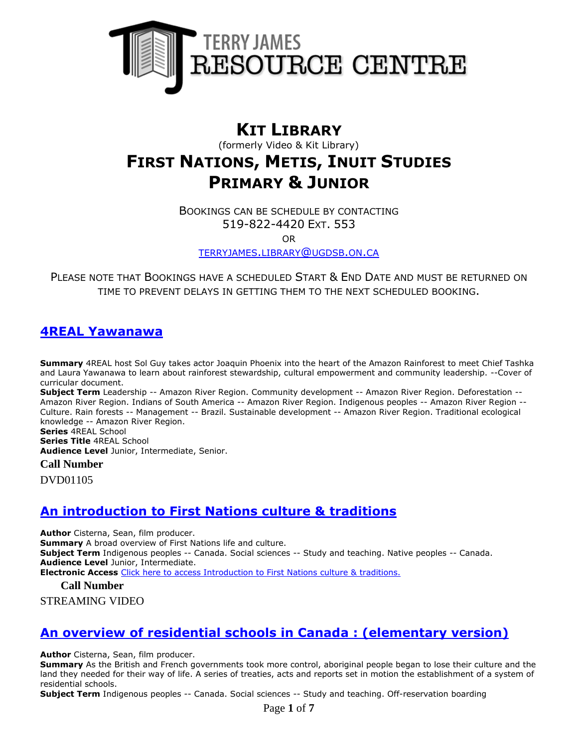

# **KIT LIBRARY**

(formerly Video & Kit Library)

# **FIRST NATIONS, METIS, INUIT STUDIES PRIMARY & JUNIOR**

BOOKINGS CAN BE SCHEDULE BY CONTACTING 519-822-4420 EXT. 553

OR

[TERRYJAMES](mailto:terryjames.library@ugdsb.on.ca).LIBRARY@UGDSB.ON.CA

PLEASE NOTE THAT BOOKINGS HAVE A SCHEDULED START & END DATE AND MUST BE RETURNED ON TIME TO PREVENT DELAYS IN GETTING THEM TO THE NEXT SCHEDULED BOOKING.

### **[4REAL Yawanawa](https://ug.ent.sirsidynix.net/client/en_CA/TJR/search/detailnonmodal/ent:$002f$002fSD_ILS$002f0$002fSD_ILS:215767/email?)**

**Summary** 4REAL host Sol Guy takes actor Joaquin Phoenix into the heart of the Amazon Rainforest to meet Chief Tashka and Laura Yawanawa to learn about rainforest stewardship, cultural empowerment and community leadership. --Cover of curricular document.

**Subject Term** Leadership -- Amazon River Region. Community development -- Amazon River Region. Deforestation -- Amazon River Region. Indians of South America -- Amazon River Region. Indigenous peoples -- Amazon River Region -- Culture. Rain forests -- Management -- Brazil. Sustainable development -- Amazon River Region. Traditional ecological knowledge -- Amazon River Region.

**Series** 4REAL School

**Series Title** 4REAL School

**Audience Level** Junior, Intermediate, Senior.

**Call Number**

DVD01105

# **[An introduction to First Nations culture & traditions](https://ug.ent.sirsidynix.net/client/en_CA/TJR/search/detailnonmodal/ent:$002f$002fSD_ILS$002f0$002fSD_ILS:297681/email?)**

**Author** Cisterna, Sean, film producer. **Summary** A broad overview of First Nations life and culture. **Subject Term** Indigenous peoples -- Canada. Social sciences -- Study and teaching. Native peoples -- Canada. **Audience Level** Junior, Intermediate. **Electronic Access** [Click here to access Introduction to First Nations culture & traditions.](http://learn360.infobase.com/p_ViewVideo.aspx?customID=49321)

**Call Number**

STREAMING VIDEO

# **[An overview of residential schools in Canada : \(elementary version\)](https://ug.ent.sirsidynix.net/client/en_CA/TJR/search/detailnonmodal/ent:$002f$002fSD_ILS$002f0$002fSD_ILS:297683/email?)**

**Author** Cisterna, Sean, film producer.

**Summary** As the British and French governments took more control, aboriginal people began to lose their culture and the land they needed for their way of life. A series of treaties, acts and reports set in motion the establishment of a system of residential schools.

**Subject Term** Indigenous peoples -- Canada. Social sciences -- Study and teaching. Off-reservation boarding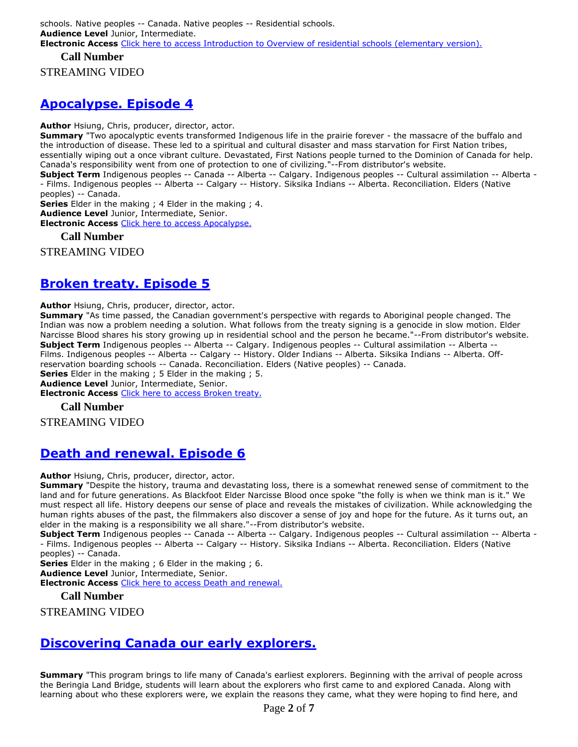#### **Call Number**

STREAMING VIDEO

### **[Apocalypse. Episode 4](https://ug.ent.sirsidynix.net/client/en_CA/TJR/search/detailnonmodal/ent:$002f$002fSD_ILS$002f0$002fSD_ILS:321567/email?)**

**Author** Hsiung, Chris, producer, director, actor.

**Summary** "Two apocalyptic events transformed Indigenous life in the prairie forever - the massacre of the buffalo and the introduction of disease. These led to a spiritual and cultural disaster and mass starvation for First Nation tribes, essentially wiping out a once vibrant culture. Devastated, First Nations people turned to the Dominion of Canada for help. Canada's responsibility went from one of protection to one of civilizing."--From distributor's website.

**Subject Term** Indigenous peoples -- Canada -- Alberta -- Calgary. Indigenous peoples -- Cultural assimilation -- Alberta - - Films. Indigenous peoples -- Alberta -- Calgary -- History. Siksika Indians -- Alberta. Reconciliation. Elders (Native peoples) -- Canada.

**Series** Elder in the making ; 4 Elder in the making ; 4.

**Audience Level** Junior, Intermediate, Senior.

**Electronic Access** [Click here to access Apocalypse.](https://learn360.infobase.com/p_ViewVideo.aspx?customID=52234)

**Call Number**

STREAMING VIDEO

# **[Broken treaty. Episode 5](https://ug.ent.sirsidynix.net/client/en_CA/TJR/search/detailnonmodal/ent:$002f$002fSD_ILS$002f0$002fSD_ILS:321568/email?)**

**Author** Hsiung, Chris, producer, director, actor.

**Summary** "As time passed, the Canadian government's perspective with regards to Aboriginal people changed. The Indian was now a problem needing a solution. What follows from the treaty signing is a genocide in slow motion. Elder Narcisse Blood shares his story growing up in residential school and the person he became."--From distributor's website. **Subject Term** Indigenous peoples -- Alberta -- Calgary. Indigenous peoples -- Cultural assimilation -- Alberta -- Films. Indigenous peoples -- Alberta -- Calgary -- History. Older Indians -- Alberta. Siksika Indians -- Alberta. Offreservation boarding schools -- Canada. Reconciliation. Elders (Native peoples) -- Canada. **Series** Elder in the making ; 5 Elder in the making ; 5.

**Audience Level** Junior, Intermediate, Senior.

**Electronic Access** [Click here to access Broken treaty.](https://learn360.infobase.com/p_ViewVideo.aspx?customID=52235)

**Call Number**

STREAMING VIDEO

### **[Death and renewal. Episode 6](https://ug.ent.sirsidynix.net/client/en_CA/TJR/search/detailnonmodal/ent:$002f$002fSD_ILS$002f0$002fSD_ILS:321569/email?)**

**Author** Hsiung, Chris, producer, director, actor.

**Summary** "Despite the history, trauma and devastating loss, there is a somewhat renewed sense of commitment to the land and for future generations. As Blackfoot Elder Narcisse Blood once spoke "the folly is when we think man is it." We must respect all life. History deepens our sense of place and reveals the mistakes of civilization. While acknowledging the human rights abuses of the past, the filmmakers also discover a sense of joy and hope for the future. As it turns out, an elder in the making is a responsibility we all share."--From distributor's website.

**Subject Term** Indigenous peoples -- Canada -- Alberta -- Calgary. Indigenous peoples -- Cultural assimilation -- Alberta - - Films. Indigenous peoples -- Alberta -- Calgary -- History. Siksika Indians -- Alberta. Reconciliation. Elders (Native peoples) -- Canada.

**Series** Elder in the making ; 6 Elder in the making ; 6. **Audience Level** Junior, Intermediate, Senior. **Electronic Access** [Click here to access Death and renewal.](https://learn360.infobase.com/p_ViewVideo.aspx?customID=52236)

**Call Number**

STREAMING VIDEO

### **[Discovering Canada our early explorers.](https://ug.ent.sirsidynix.net/client/en_CA/TJR/search/detailnonmodal/ent:$002f$002fSD_ILS$002f0$002fSD_ILS:244717/email?)**

**Summary** "This program brings to life many of Canada's earliest explorers. Beginning with the arrival of people across the Beringia Land Bridge, students will learn about the explorers who first came to and explored Canada. Along with learning about who these explorers were, we explain the reasons they came, what they were hoping to find here, and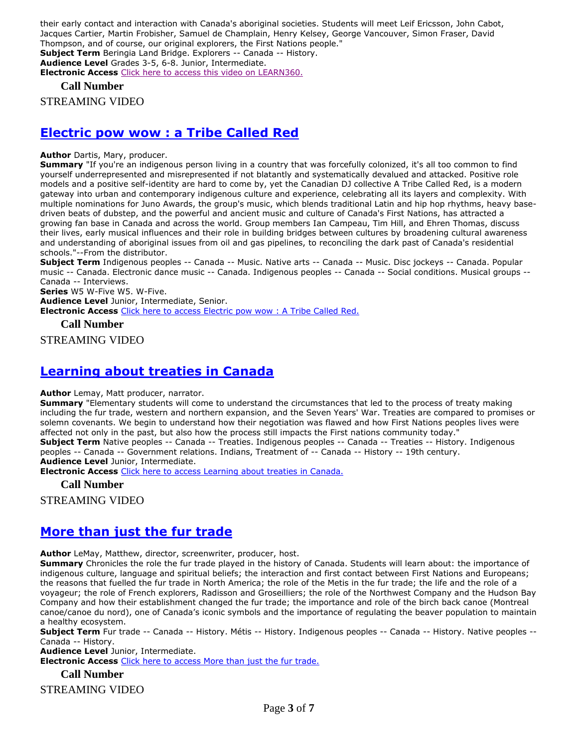their early contact and interaction with Canada's aboriginal societies. Students will meet Leif Ericsson, John Cabot, Jacques Cartier, Martin Frobisher, Samuel de Champlain, Henry Kelsey, George Vancouver, Simon Fraser, David Thompson, and of course, our original explorers, the First Nations people." **Subject Term** Beringia Land Bridge. Explorers -- Canada -- History. **Audience Level** Grades 3-5, 6-8. Junior, Intermediate. **Electronic Access** [Click here to access this video on LEARN360.](http://www.learn360.com/ShowVideo.aspx?ID=594624)

**Call Number**

STREAMING VIDEO

### **[Electric pow wow : a Tribe Called Red](https://ug.ent.sirsidynix.net/client/en_CA/TJR/search/detailnonmodal/ent:$002f$002fSD_ILS$002f0$002fSD_ILS:322089/email?)**

**Author** Dartis, Mary, producer.

**Summary** "If you're an indigenous person living in a country that was forcefully colonized, it's all too common to find yourself underrepresented and misrepresented if not blatantly and systematically devalued and attacked. Positive role models and a positive self-identity are hard to come by, yet the Canadian DJ collective A Tribe Called Red, is a modern gateway into urban and contemporary indigenous culture and experience, celebrating all its layers and complexity. With multiple nominations for Juno Awards, the group's music, which blends traditional Latin and hip hop rhythms, heavy basedriven beats of dubstep, and the powerful and ancient music and culture of Canada's First Nations, has attracted a growing fan base in Canada and across the world. Group members Ian Campeau, Tim Hill, and Ehren Thomas, discuss their lives, early musical influences and their role in building bridges between cultures by broadening cultural awareness and understanding of aboriginal issues from oil and gas pipelines, to reconciling the dark past of Canada's residential schools."--From the distributor.

**Subject Term** Indigenous peoples -- Canada -- Music. Native arts -- Canada -- Music. Disc jockeys -- Canada. Popular music -- Canada. Electronic dance music -- Canada. Indigenous peoples -- Canada -- Social conditions. Musical groups -- Canada -- Interviews.

**Series** W5 W-Five W5. W-Five.

**Audience Level** Junior, Intermediate, Senior. **Electronic Access** [Click here to access Electric pow wow : A Tribe Called Red.](https://learn360.infobase.com/p_ViewVideo.aspx?customID=52239)

**Call Number**

STREAMING VIDEO

### **[Learning about treaties in Canada](https://ug.ent.sirsidynix.net/client/en_CA/TJR/search/detailnonmodal/ent:$002f$002fSD_ILS$002f0$002fSD_ILS:305567/email?)**

**Author** Lemay, Matt producer, narrator.

**Summary** "Elementary students will come to understand the circumstances that led to the process of treaty making including the fur trade, western and northern expansion, and the Seven Years' War. Treaties are compared to promises or solemn covenants. We begin to understand how their negotiation was flawed and how First Nations peoples lives were affected not only in the past, but also how the process still impacts the First nations community today." **Subject Term** Native peoples -- Canada -- Treaties. Indigenous peoples -- Canada -- Treaties -- History. Indigenous peoples -- Canada -- Government relations. Indians, Treatment of -- Canada -- History -- 19th century. **Audience Level** Junior, Intermediate.

**Electronic Access** [Click here to access Learning about treaties in Canada.](https://learn360.infobase.com/p_ViewVideo.aspx?customID=51536)

**Call Number**

STREAMING VIDEO

### **[More than just the fur trade](https://ug.ent.sirsidynix.net/client/en_CA/TJR/search/detailnonmodal/ent:$002f$002fSD_ILS$002f0$002fSD_ILS:322087/email?)**

**Author** LeMay, Matthew, director, screenwriter, producer, host.

**Summary** Chronicles the role the fur trade played in the history of Canada. Students will learn about: the importance of indigenous culture, language and spiritual beliefs; the interaction and first contact between First Nations and Europeans; the reasons that fuelled the fur trade in North America; the role of the Metis in the fur trade; the life and the role of a voyageur; the role of French explorers, Radisson and Groseilliers; the role of the Northwest Company and the Hudson Bay Company and how their establishment changed the fur trade; the importance and role of the birch back canoe (Montreal canoe/canoe du nord), one of Canada's iconic symbols and the importance of regulating the beaver population to maintain a healthy ecosystem.

**Subject Term** Fur trade -- Canada -- History. Métis -- History. Indigenous peoples -- Canada -- History. Native peoples -- Canada -- History.

**Audience Level** Junior, Intermediate.

**Electronic Access** [Click here to access More than just the fur trade.](https://learn360.infobase.com/p_ViewVideo.aspx?customID=52265)

**Call Number**

STREAMING VIDEO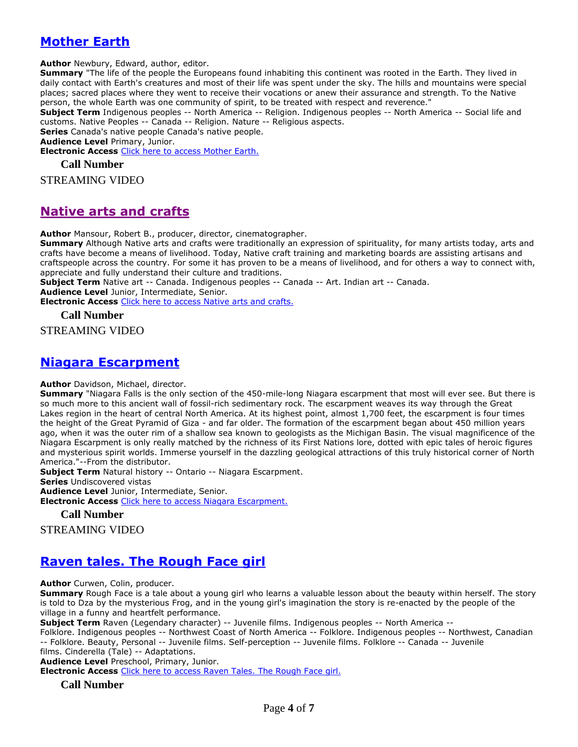## **[Mother Earth](https://ug.ent.sirsidynix.net/client/en_CA/TJR/search/detailnonmodal/ent:$002f$002fSD_ILS$002f0$002fSD_ILS:281325/email?)**

**Author** Newbury, Edward, author, editor.

**Summary** "The life of the people the Europeans found inhabiting this continent was rooted in the Earth. They lived in daily contact with Earth's creatures and most of their life was spent under the sky. The hills and mountains were special places; sacred places where they went to receive their vocations or anew their assurance and strength. To the Native person, the whole Earth was one community of spirit, to be treated with respect and reverence."

**Subject Term** Indigenous peoples -- North America -- Religion. Indigenous peoples -- North America -- Social life and customs. Native Peoples -- Canada -- Religion. Nature -- Religious aspects.

**Series** Canada's native people Canada's native people.

**Audience Level** Primary, Junior.

**Electronic Access** [Click here to access Mother Earth.](http://www.learn360.com/ShowVideo.aspx?ID=1132761)

#### **Call Number**

STREAMING VIDEO

### **[Native arts and crafts](https://ug.ent.sirsidynix.net/client/en_CA/TJR/search/detailnonmodal/ent:$002f$002fSD_ILS$002f0$002fSD_ILS:285956/email?)**

**Author** Mansour, Robert B., producer, director, cinematographer.

**Summary** Although Native arts and crafts were traditionally an expression of spirituality, for many artists today, arts and crafts have become a means of livelihood. Today, Native craft training and marketing boards are assisting artisans and craftspeople across the country. For some it has proven to be a means of livelihood, and for others a way to connect with, appreciate and fully understand their culture and traditions.

**Subject Term** Native art -- Canada. Indigenous peoples -- Canada -- Art. Indian art -- Canada.

**Audience Level** Junior, Intermediate, Senior.

**Electronic Access** [Click here to access Native arts and crafts.](http://www.learn360.com/ShowVideo.aspx?ID=1225791)

**Call Number**

STREAMING VIDEO

### **[Niagara Escarpment](https://ug.ent.sirsidynix.net/client/en_CA/TJR/search/detailnonmodal/ent:$002f$002fSD_ILS$002f0$002fSD_ILS:314500/email?)**

#### **Author** Davidson, Michael, director.

**Summary** "Niagara Falls is the only section of the 450-mile-long Niagara escarpment that most will ever see. But there is so much more to this ancient wall of fossil-rich sedimentary rock. The escarpment weaves its way through the Great Lakes region in the heart of central North America. At its highest point, almost 1,700 feet, the escarpment is four times the height of the Great Pyramid of Giza - and far older. The formation of the escarpment began about 450 million years ago, when it was the outer rim of a shallow sea known to geologists as the Michigan Basin. The visual magnificence of the Niagara Escarpment is only really matched by the richness of its First Nations lore, dotted with epic tales of heroic figures and mysterious spirit worlds. Immerse yourself in the dazzling geological attractions of this truly historical corner of North America."--From the distributor.

**Subject Term** Natural history -- Ontario -- Niagara Escarpment.

**Series** Undiscovered vistas

**Audience Level** Junior, Intermediate, Senior.

**Electronic Access** [Click here to access Niagara Escarpment.](https://learn360.infobase.com/p_ViewVideo.aspx?customID=51539)

#### **Call Number**

STREAMING VIDEO

# **[Raven tales. The Rough Face girl](https://ug.ent.sirsidynix.net/client/en_CA/TJR/search/detailnonmodal/ent:$002f$002fSD_ILS$002f0$002fSD_ILS:281224/email?)**

**Author** Curwen, Colin, producer.

**Summary** Rough Face is a tale about a young girl who learns a valuable lesson about the beauty within herself. The story is told to Dza by the mysterious Frog, and in the young girl's imagination the story is re-enacted by the people of the village in a funny and heartfelt performance.

**Subject Term** Raven (Legendary character) -- Juvenile films. Indigenous peoples -- North America --

Folklore. Indigenous peoples -- Northwest Coast of North America -- Folklore. Indigenous peoples -- Northwest, Canadian -- Folklore. Beauty, Personal -- Juvenile films. Self-perception -- Juvenile films. Folklore -- Canada -- Juvenile films. Cinderella (Tale) -- Adaptations.

**Audience Level** Preschool, Primary, Junior.

**Electronic Access** [Click here to access Raven Tales. The Rough Face girl.](http://www.learn360.com/ShowVideo.aspx?ID=1121175)

#### **Call Number**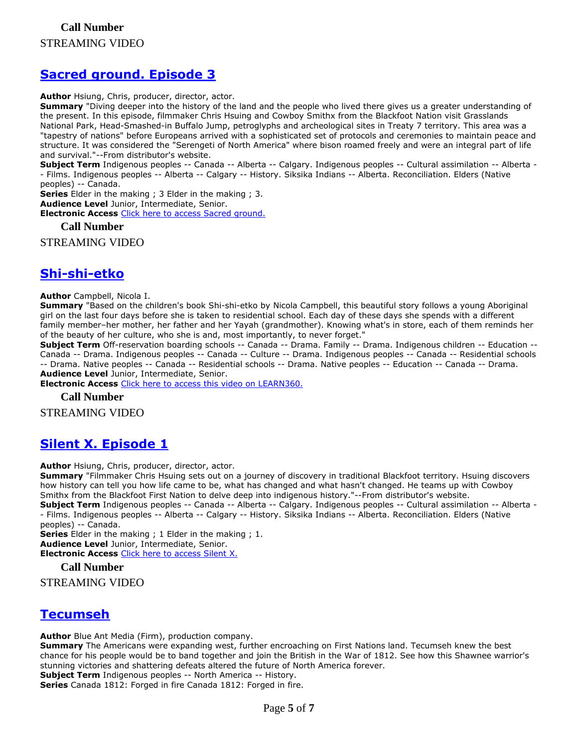### **[Sacred ground. Episode 3](https://ug.ent.sirsidynix.net/client/en_CA/TJR/search/detailnonmodal/ent:$002f$002fSD_ILS$002f0$002fSD_ILS:321566/email?)**

**Author** Hsiung, Chris, producer, director, actor.

**Summary** "Diving deeper into the history of the land and the people who lived there gives us a greater understanding of the present. In this episode, filmmaker Chris Hsuing and Cowboy Smithx from the Blackfoot Nation visit Grasslands National Park, Head-Smashed-in Buffalo Jump, petroglyphs and archeological sites in Treaty 7 territory. This area was a "tapestry of nations" before Europeans arrived with a sophisticated set of protocols and ceremonies to maintain peace and structure. It was considered the "Serengeti of North America" where bison roamed freely and were an integral part of life and survival."--From distributor's website.

**Subject Term** Indigenous peoples -- Canada -- Alberta -- Calgary. Indigenous peoples -- Cultural assimilation -- Alberta - - Films. Indigenous peoples -- Alberta -- Calgary -- History. Siksika Indians -- Alberta. Reconciliation. Elders (Native peoples) -- Canada.

**Series** Elder in the making ; 3 Elder in the making ; 3.

**Audience Level** Junior, Intermediate, Senior.

**Electronic Access** [Click here to access Sacred ground.](https://learn360.infobase.com/p_ViewVideo.aspx?customID=52233)

**Call Number**

STREAMING VIDEO

### **[Shi-shi-etko](https://ug.ent.sirsidynix.net/client/en_CA/TJR/search/detailnonmodal/ent:$002f$002fSD_ILS$002f0$002fSD_ILS:232318/email?)**

**Author** Campbell, Nicola I.

**Summary** "Based on the children's book Shi-shi-etko by Nicola Campbell, this beautiful story follows a young Aboriginal girl on the last four days before she is taken to residential school. Each day of these days she spends with a different family member–her mother, her father and her Yayah (grandmother). Knowing what's in store, each of them reminds her of the beauty of her culture, who she is and, most importantly, to never forget."

**Subject Term** Off-reservation boarding schools -- Canada -- Drama. Family -- Drama. Indigenous children -- Education -- Canada -- Drama. Indigenous peoples -- Canada -- Culture -- Drama. Indigenous peoples -- Canada -- Residential schools -- Drama. Native peoples -- Canada -- Residential schools -- Drama. Native peoples -- Education -- Canada -- Drama. **Audience Level** Junior, Intermediate, Senior.

**Electronic Access** [Click here to access this video on LEARN360.](http://www.learn360.com/ShowVideo.aspx?ID=355097)

**Call Number**

STREAMING VIDEO

### **[Silent X. Episode 1](https://ug.ent.sirsidynix.net/client/en_CA/TJR/search/detailnonmodal/ent:$002f$002fSD_ILS$002f0$002fSD_ILS:321564/email?)**

**Author** Hsiung, Chris, producer, director, actor.

**Summary** "Filmmaker Chris Hsuing sets out on a journey of discovery in traditional Blackfoot territory. Hsuing discovers how history can tell you how life came to be, what has changed and what hasn't changed. He teams up with Cowboy Smithx from the Blackfoot First Nation to delve deep into indigenous history."--From distributor's website. **Subject Term** Indigenous peoples -- Canada -- Alberta -- Calgary. Indigenous peoples -- Cultural assimilation -- Alberta - - Films. Indigenous peoples -- Alberta -- Calgary -- History. Siksika Indians -- Alberta. Reconciliation. Elders (Native peoples) -- Canada.

**Series** Elder in the making ; 1 Elder in the making ; 1.

**Audience Level** Junior, Intermediate, Senior.

**Electronic Access** [Click here to access Silent X.](https://learn360.infobase.com/p_ViewVideo.aspx?customID=52231)

**Call Number**

STREAMING VIDEO

### **[Tecumseh](https://ug.ent.sirsidynix.net/client/en_CA/TJR/search/detailnonmodal/ent:$002f$002fSD_ILS$002f0$002fSD_ILS:287244/email?)**

**Author** Blue Ant Media (Firm), production company.

**Summary** The Americans were expanding west, further encroaching on First Nations land. Tecumseh knew the best chance for his people would be to band together and join the British in the War of 1812. See how this Shawnee warrior's stunning victories and shattering defeats altered the future of North America forever.

**Subject Term** Indigenous peoples -- North America -- History. **Series** Canada 1812: Forged in fire Canada 1812: Forged in fire.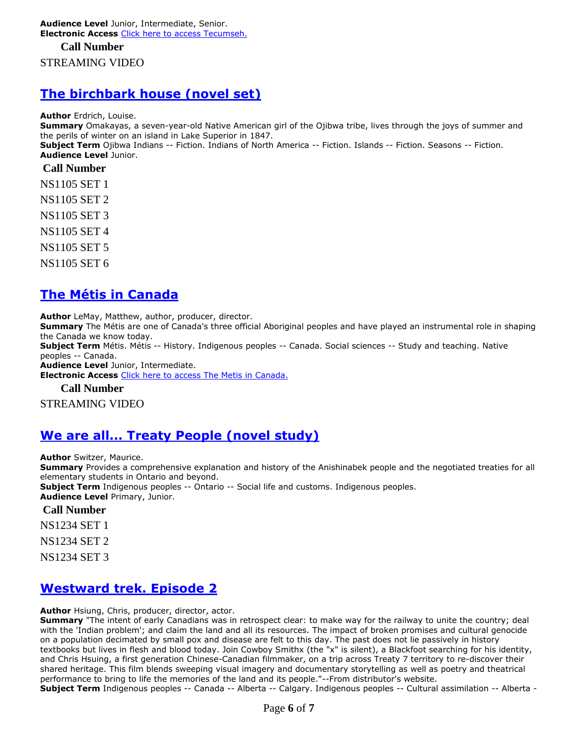**Audience Level** Junior, Intermediate, Senior. **Electronic Access** [Click here to access Tecumseh.](http://www.learn360.com/ShowVideo.aspx?ID=1225844)

### **Call Number** STREAMING VIDEO

### **[The birchbark house \(novel set\)](https://ug.ent.sirsidynix.net/client/en_CA/TJR/search/detailnonmodal/ent:$002f$002fSD_ILS$002f0$002fSD_ILS:159340/email?)**

**Author** Erdrich, Louise.

**Summary** Omakayas, a seven-year-old Native American girl of the Ojibwa tribe, lives through the joys of summer and the perils of winter on an island in Lake Superior in 1847.

**Subject Term** Ojibwa Indians -- Fiction. Indians of North America -- Fiction. Islands -- Fiction. Seasons -- Fiction. **Audience Level** Junior.

#### **Call Number**

NS1105 SET 1

NS1105 SET 2

NS1105 SET 3

NS1105 SET 4

NS1105 SET 5

NS1105 SET 6

# **[The Métis in Canada](https://ug.ent.sirsidynix.net/client/en_CA/TJR/search/detailnonmodal/ent:$002f$002fSD_ILS$002f0$002fSD_ILS:296971/email?)**

**Author** LeMay, Matthew, author, producer, director.

**Summary** The Métis are one of Canada's three official Aboriginal peoples and have played an instrumental role in shaping the Canada we know today.

**Subject Term** Métis. Métis -- History. Indigenous peoples -- Canada. Social sciences -- Study and teaching. Native peoples -- Canada.

**Audience Level** Junior, Intermediate.

**Electronic Access** [Click here to access The Metis in Canada.](http://learn360.infobase.com/p_ViewVideo.aspx?customID=49348)

**Call Number**

STREAMING VIDEO

### **[We are all... Treaty People \(novel study\)](https://ug.ent.sirsidynix.net/client/en_CA/TJR/search/detailnonmodal/ent:$002f$002fSD_ILS$002f0$002fSD_ILS:322269/email?)**

**Author** Switzer, Maurice.

**Summary** Provides a comprehensive explanation and history of the Anishinabek people and the negotiated treaties for all elementary students in Ontario and beyond.

**Subject Term** Indigenous peoples -- Ontario -- Social life and customs. Indigenous peoples. **Audience Level** Primary, Junior.

#### **Call Number**

NS1234 SET 1

NS1234 SET 2

NS1234 SET 3

### **[Westward trek. Episode 2](https://ug.ent.sirsidynix.net/client/en_CA/TJR/search/detailnonmodal/ent:$002f$002fSD_ILS$002f0$002fSD_ILS:321565/email?)**

**Author** Hsiung, Chris, producer, director, actor.

**Summary** "The intent of early Canadians was in retrospect clear: to make way for the railway to unite the country; deal with the 'Indian problem'; and claim the land and all its resources. The impact of broken promises and cultural genocide on a population decimated by small pox and disease are felt to this day. The past does not lie passively in history textbooks but lives in flesh and blood today. Join Cowboy Smithx (the "x" is silent), a Blackfoot searching for his identity, and Chris Hsuing, a first generation Chinese-Canadian filmmaker, on a trip across Treaty 7 territory to re-discover their shared heritage. This film blends sweeping visual imagery and documentary storytelling as well as poetry and theatrical performance to bring to life the memories of the land and its people."--From distributor's website. **Subject Term** Indigenous peoples -- Canada -- Alberta -- Calgary. Indigenous peoples -- Cultural assimilation -- Alberta -